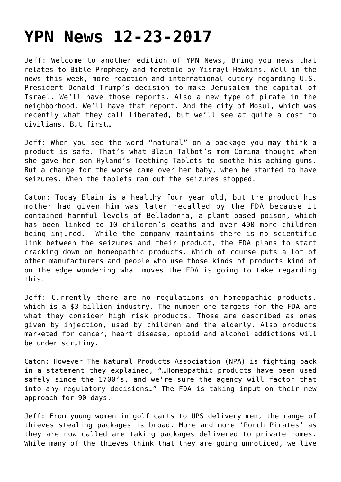## **[YPN News 12-23-2017](https://yahwehsbranch.com/ypn-news-12-23-2017/)**

Jeff: Welcome to another edition of YPN News, Bring you news that relates to Bible Prophecy and foretold by Yisrayl Hawkins. Well in the news this week, more reaction and international outcry regarding U.S. President Donald Trump's decision to make Jerusalem the capital of Israel. We'll have those reports. Also a new type of pirate in the neighborhood. We'll have that report. And the city of Mosul, which was recently what they call liberated, but we'll see at quite a cost to civilians. But first…

Jeff: When you see the word "natural" on a package you may think a product is safe. That's what Blain Talbot's mom Corina thought when she gave her son Hyland's Teething Tablets to soothe his aching gums. But a change for the worse came over her baby, when he started to have seizures. When the tablets ran out the seizures stopped.

Caton: Today Blain is a healthy four year old, but the product his mother had given him was later recalled by the FDA because it contained harmful levels of Belladonna, a plant based poison, which has been linked to 10 children's deaths and over 400 more children being injured. While the company maintains there is no scientific link between the seizures and their product, the FDA plans to start cracking down on homeopathic products. Which of course puts a lot of other manufacturers and people who use those kinds of products kind of on the edge wondering what moves the FDA is going to take regarding this.

Jeff: Currently there are no regulations on homeopathic products, which is a \$3 billion industry. The number one targets for the FDA are what they consider high risk products. Those are described as ones given by injection, used by children and the elderly. Also products marketed for cancer, heart disease, opioid and alcohol addictions will be under scrutiny.

Caton: However The Natural Products Association (NPA) is fighting back in a statement they explained, "…Homeopathic products have been used safely since the 1700's, and we're sure the agency will factor that into any regulatory decisions…" The FDA is taking input on their new approach for 90 days.

Jeff: From young women in golf carts to UPS delivery men, the range of thieves stealing packages is broad. More and more 'Porch Pirates' as they are now called are taking packages delivered to private homes. While many of the thieves think that they are going unnoticed, we live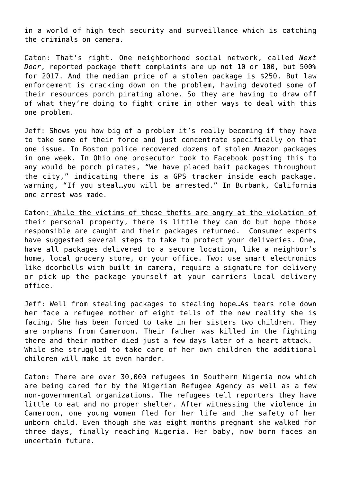in a world of high tech security and surveillance which is catching the criminals on camera.

Caton: That's right. One neighborhood social network, called *Next Door*, reported package theft complaints are up not 10 or 100, but 500% for 2017. And the median price of a stolen package is \$250. But law enforcement is cracking down on the problem, having devoted some of their resources porch pirating alone. So they are having to draw off of what they're doing to fight crime in other ways to deal with this one problem.

Jeff: Shows you how big of a problem it's really becoming if they have to take some of their force and just concentrate specifically on that one issue. In Boston police recovered dozens of stolen Amazon packages in one week. In Ohio one prosecutor took to Facebook posting this to any would be porch pirates, "We have placed bait packages throughout the city," indicating there is a GPS tracker inside each package, warning, "If you steal…you will be arrested." In Burbank, California one arrest was made.

Caton: While the victims of these thefts are angry at the violation of their personal property, there is little they can do but hope those responsible are caught and their packages returned. Consumer experts have suggested several steps to take to protect your deliveries. One, have all packages delivered to a secure location, like a neighbor's home, local grocery store, or your office. Two: use smart electronics like doorbells with built-in camera, require a signature for delivery or pick-up the package yourself at your carriers local delivery office.

Jeff: Well from stealing packages to stealing hope…As tears role down her face a refugee mother of eight tells of the new reality she is facing. She has been forced to take in her sisters two children. They are orphans from Cameroon. Their father was killed in the fighting there and their mother died just a few days later of a heart attack. While she struggled to take care of her own children the additional children will make it even harder.

Caton: There are over 30,000 refugees in Southern Nigeria now which are being cared for by the Nigerian Refugee Agency as well as a few non-governmental organizations. The refugees tell reporters they have little to eat and no proper shelter. After witnessing the violence in Cameroon, one young women fled for her life and the safety of her unborn child. Even though she was eight months pregnant she walked for three days, finally reaching Nigeria. Her baby, now born faces an uncertain future.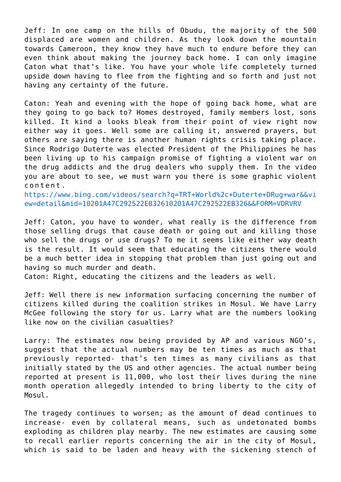Jeff: In one camp on the hills of Obudu, the majority of the 500 displaced are women and children. As they look down the mountain towards Cameroon, they know they have much to endure before they can even think about making the journey back home. I can only imagine Caton what that's like. You have your whole life completely turned upside down having to flee from the fighting and so forth and just not having any certainty of the future.

Caton: Yeah and evening with the hope of going back home, what are they going to go back to? Homes destroyed, family members lost, sons killed. It kind a looks bleak from their point of view right now either way it goes. Well some are calling it, answered prayers, but others are saying there is another human rights crisis taking place. Since Rodrigo Duterte was elected President of the Philippines he has been living up to his campaign promise of fighting a violent war on the drug addicts and the drug dealers who supply them. In the video you are about to see, we must warn you there is some graphic violent content.

[https://www.bing.com/videos/search?q=TRT+World%2c+Duterte+DRug+war&&vi](https://www.bing.com/videos/search?q=TRT+World%2c+Duterte+DRug+war&&view=detail&mid=10201A47C292522EB32610201A47C292522EB326&&FORM=VDRVRV) [ew=detail&mid=10201A47C292522EB32610201A47C292522EB326&&FORM=VDRVRV](https://www.bing.com/videos/search?q=TRT+World%2c+Duterte+DRug+war&&view=detail&mid=10201A47C292522EB32610201A47C292522EB326&&FORM=VDRVRV)

Jeff: Caton, you have to wonder, what really is the difference from those selling drugs that cause death or going out and killing those who sell the drugs or use drugs? To me it seems like either way death is the result. It would seem that educating the citizens there would be a much better idea in stopping that problem than just going out and having so much murder and death.

Caton: Right, educating the citizens and the leaders as well.

Jeff: Well there is new information surfacing concerning the number of citizens killed during the coalition strikes in Mosul. We have Larry McGee following the story for us. Larry what are the numbers looking like now on the civilian casualties?

Larry: The estimates now being provided by AP and various NGO's, suggest that the actual numbers may be ten times as much as that previously reported- that's ten times as many civilians as that initially stated by the US and other agencies. The actual number being reported at present is 11,000, who lost their lives during the nine month operation allegedly intended to bring liberty to the city of Mosul.

The tragedy continues to worsen; as the amount of dead continues to increase- even by collateral means, such as undetonated bombs exploding as children play nearby. The new estimates are causing some to recall earlier reports concerning the air in the city of Mosul, which is said to be laden and heavy with the sickening stench of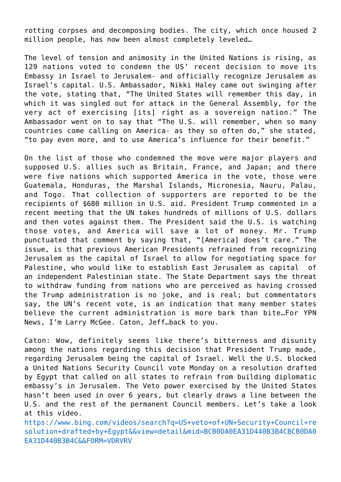rotting corpses and decomposing bodies. The city, which once housed 2 million people, has now been almost completely leveled…

The level of tension and animosity in the United Nations is rising, as 129 nations voted to condemn the US' recent decision to move its Embassy in Israel to Jerusalem- and officially recognize Jerusalem as Israel's capital. U.S. Ambassador, Nikki Haley came out swinging after the vote, stating that, "The United States will remember this day, in which it was singled out for attack in the General Assembly, for the very act of exercising [its] right as a sovereign nation." The Ambassador went on to say that "The U.S. will remember, when so many countries come calling on America- as they so often do," she stated, "to pay even more, and to use America's influence for their benefit."

On the list of those who condemned the move were major players and supposed U.S. allies such as Britain, France, and Japan; and there were five nations which supported America in the vote, those were Guatemala, Honduras, the Marshal Islands, Micronesia, Nauru, Palau, and Togo. That collection of supporters are reported to be the recipients of \$680 million in U.S. aid. President Trump commented in a recent meeting that the UN takes hundreds of millions of U.S. dollars and then votes against them. The President said the U.S. is watching those votes, and America will save a lot of money. Mr. Trump punctuated that comment by saying that, "[America] does't care." The issue, is that previous American Presidents refrained from recognizing Jerusalem as the capital of Israel to allow for negotiating space for Palestine, who would like to establish East Jerusalem as capital of an independent Palestinian state. The State Department says the threat to withdraw funding from nations who are perceived as having crossed the Trump administration is no joke, and is real; but commentators say, the UN's recent vote, is an indication that many member states believe the current administration is more bark than bite…For YPN News, I'm Larry McGee. Caton, Jeff…back to you.

Caton: Wow, definitely seems like there's bitterness and disunity among the nations regarding this decision that President Trump made, regarding Jerusalem being the capital of Israel. Well the U.S. blocked a United Nations Security Council vote Monday on a resolution drafted by Egypt that called on all states to refrain from building diplomatic embassy's in Jerusalem. The Veto power exercised by the United States hasn't been used in over 6 years, but clearly draws a line between the U.S. and the rest of the permanent Council members. Let's take a look at this video.

[https://www.bing.com/videos/search?q=US+veto+of+UN+Security+Council+re](https://www.bing.com/videos/search?q=US+veto+of+UN+Security+Council+resolution+drafted+by+Egypt&&view=detail&mid=BCB0DA0EA31D440B3B4CBCB0DA0EA31D440B3B4C&&FORM=VDRVRV) [solution+drafted+by+Egypt&&view=detail&mid=BCB0DA0EA31D440B3B4CBCB0DA0](https://www.bing.com/videos/search?q=US+veto+of+UN+Security+Council+resolution+drafted+by+Egypt&&view=detail&mid=BCB0DA0EA31D440B3B4CBCB0DA0EA31D440B3B4C&&FORM=VDRVRV) [EA31D440B3B4C&&FORM=VDRVRV](https://www.bing.com/videos/search?q=US+veto+of+UN+Security+Council+resolution+drafted+by+Egypt&&view=detail&mid=BCB0DA0EA31D440B3B4CBCB0DA0EA31D440B3B4C&&FORM=VDRVRV)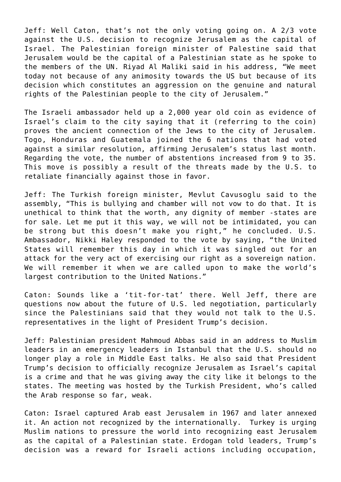Jeff: Well Caton, that's not the only voting going on. A 2/3 vote against the U.S. decision to recognize Jerusalem as the capital of Israel. The Palestinian foreign minister of Palestine said that Jerusalem would be the capital of a Palestinian state as he spoke to the members of the UN. Riyad Al Maliki said in his address, "We meet today not because of any animosity towards the US but because of its decision which constitutes an aggression on the genuine and natural rights of the Palestinian people to the city of Jerusalem."

The Israeli ambassador held up a 2,000 year old coin as evidence of Israel's claim to the city saying that it (referring to the coin) proves the ancient connection of the Jews to the city of Jerusalem. Togo, Honduras and Guatemala joined the 6 nations that had voted against a similar resolution, affirming Jerusalem's status last month. Regarding the vote, the number of abstentions increased from 9 to 35. This move is possibly a result of the threats made by the U.S. to retaliate financially against those in favor.

Jeff: The Turkish foreign minister, Mevlut Cavusoglu said to the assembly, "This is bullying and chamber will not vow to do that. It is unethical to think that the worth, any dignity of member -states are for sale. Let me put it this way, we will not be intimidated, you can be strong but this doesn't make you right," he concluded. U.S. Ambassador, Nikki Haley responded to the vote by saying, "the United States will remember this day in which it was singled out for an attack for the very act of exercising our right as a sovereign nation. We will remember it when we are called upon to make the world's largest contribution to the United Nations."

Caton: Sounds like a 'tit-for-tat' there. Well Jeff, there are questions now about the future of U.S. led negotiation, particularly since the Palestinians said that they would not talk to the U.S. representatives in the light of President Trump's decision.

Jeff: Palestinian president Mahmoud Abbas said in an address to Muslim leaders in an emergency leaders in Istanbul that the U.S. should no longer play a role in Middle East talks. He also said that President Trump's decision to officially recognize Jerusalem as Israel's capital is a crime and that he was giving away the city like it belongs to the states. The meeting was hosted by the Turkish President, who's called the Arab response so far, weak.

Caton: Israel captured Arab east Jerusalem in 1967 and later annexed it. An action not recognized by the internationally. Turkey is urging Muslim nations to pressure the world into recognizing east Jerusalem as the capital of a Palestinian state. Erdogan told leaders, Trump's decision was a reward for Israeli actions including occupation,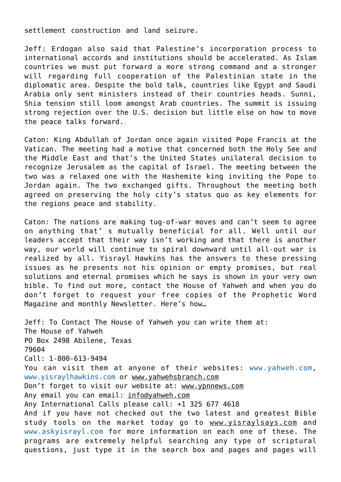settlement construction and land seizure.

Jeff: Erdogan also said that Palestine's incorporation process to international accords and institutions should be accelerated. As Islam countries we must put forward a more strong command and a stronger will regarding full cooperation of the Palestinian state in the diplomatic area. Despite the bold talk, countries like Egypt and Saudi Arabia only sent ministers instead of their countries heads. Sunni, Shia tension still loom amongst Arab countries. The summit is issuing strong rejection over the U.S. decision but little else on how to move the peace talks forward.

Caton: King Abdullah of Jordan once again visited Pope Francis at the Vatican. The meeting had a motive that concerned both the Holy See and the Middle East and that's the United States unilateral decision to recognize Jerusalem as the capital of Israel. The meeting between the two was a relaxed one with the Hashemite king inviting the Pope to Jordan again. The two exchanged gifts. Throughout the meeting both agreed on preserving the holy city's status quo as key elements for the regions peace and stability.

Caton: The nations are making tug-of-war moves and can't seem to agree on anything that' s mutually beneficial for all. Well until our leaders accept that their way isn't working and that there is another way, our world will continue to spiral downward until all-out war is realized by all. Yisrayl Hawkins has the answers to these pressing issues as he presents not his opinion or empty promises, but real solutions and eternal promises which he says is shown in your very own bible. To find out more, contact the House of Yahweh and when you do don't forget to request your free copies of the Prophetic Word Magazine and monthly Newsletter. Here's how…

Jeff: To Contact The House of Yahweh you can write them at: The House of Yahweh PO Box 2498 Abilene, Texas 79604 Call: 1-800-613-9494 You can visit them at anyone of their websites: [www.yahweh.com,](http://www.yahweh.com/) [www.yisraylhawkins.com](http://www.yisraylhawkins.com/) or www.yahwehsbranch.com Don't forget to visit our website at: www.ypnnews.com Any email you can email: info@yahweh.com Any International Calls please call: +1 325 677 4618 And if you have not checked out the two latest and greatest Bible study tools on the market today go to www.yisraylsays.com and [www.askyisrayl.com](http://www.askyisrayl.com/) for more information on each one of these. The programs are extremely helpful searching any type of scriptural questions, just type it in the search box and pages and pages will